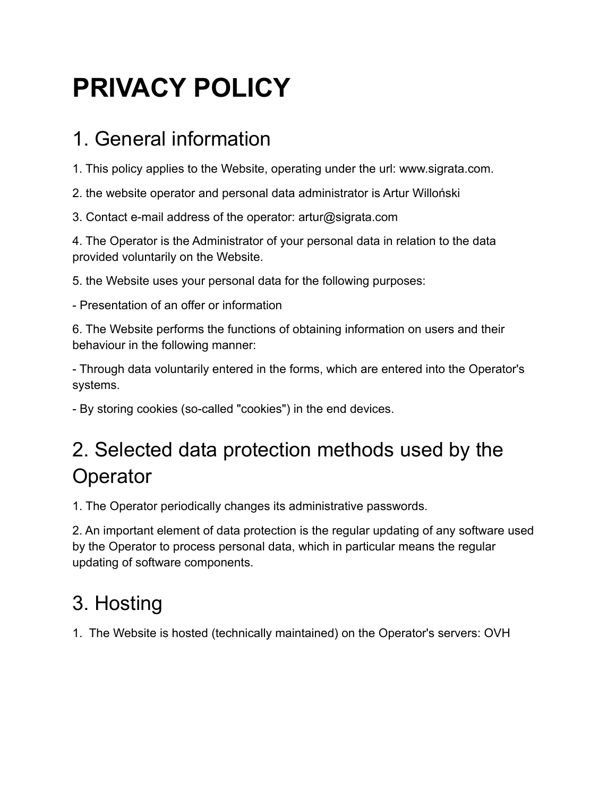# **PRIVACY POLICY**

## 1. General information

1. This policy applies to the Website, operating under the url: www.sigrata.com.

2. the website operator and personal data administrator is Artur Willoński

3. Contact e-mail address of the operator: artur@sigrata.com

4. The Operator is the Administrator of your personal data in relation to the data provided voluntarily on the Website.

5. the Website uses your personal data for the following purposes:

- Presentation of an offer or information

6. The Website performs the functions of obtaining information on users and their behaviour in the following manner:

- Through data voluntarily entered in the forms, which are entered into the Operator's systems.

- By storing cookies (so-called "cookies") in the end devices.

# 2. Selected data protection methods used by the **Operator**

1. The Operator periodically changes its administrative passwords.

2. An important element of data protection is the regular updating of any software used by the Operator to process personal data, which in particular means the regular updating of software components.

# 3. Hosting

1. The Website is hosted (technically maintained) on the Operator's servers: OVH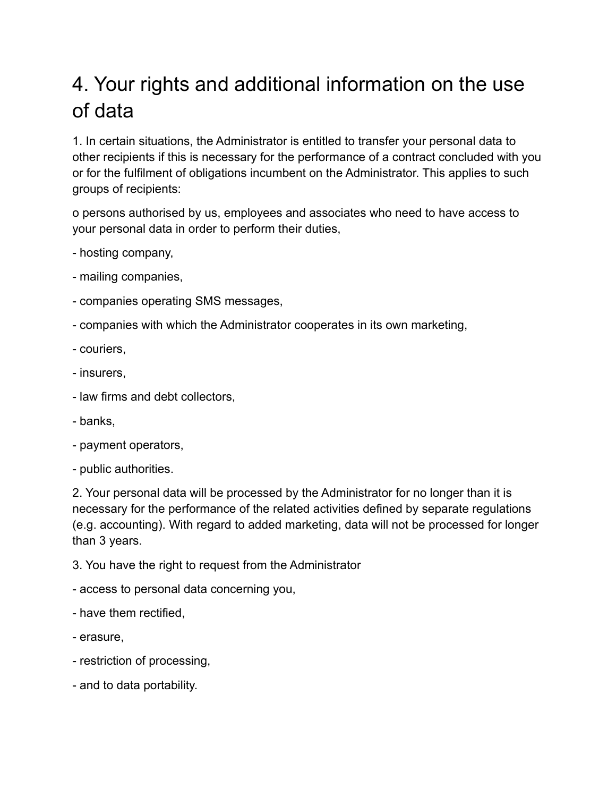# 4. Your rights and additional information on the use of data

1. In certain situations, the Administrator is entitled to transfer your personal data to other recipients if this is necessary for the performance of a contract concluded with you or for the fulfilment of obligations incumbent on the Administrator. This applies to such groups of recipients:

o persons authorised by us, employees and associates who need to have access to your personal data in order to perform their duties,

- hosting company,
- mailing companies,
- companies operating SMS messages,
- companies with which the Administrator cooperates in its own marketing,
- couriers,
- insurers,
- law firms and debt collectors,
- banks,
- payment operators,
- public authorities.

2. Your personal data will be processed by the Administrator for no longer than it is necessary for the performance of the related activities defined by separate regulations (e.g. accounting). With regard to added marketing, data will not be processed for longer than 3 years.

- 3. You have the right to request from the Administrator
- access to personal data concerning you,
- have them rectified,
- erasure,
- restriction of processing,
- and to data portability.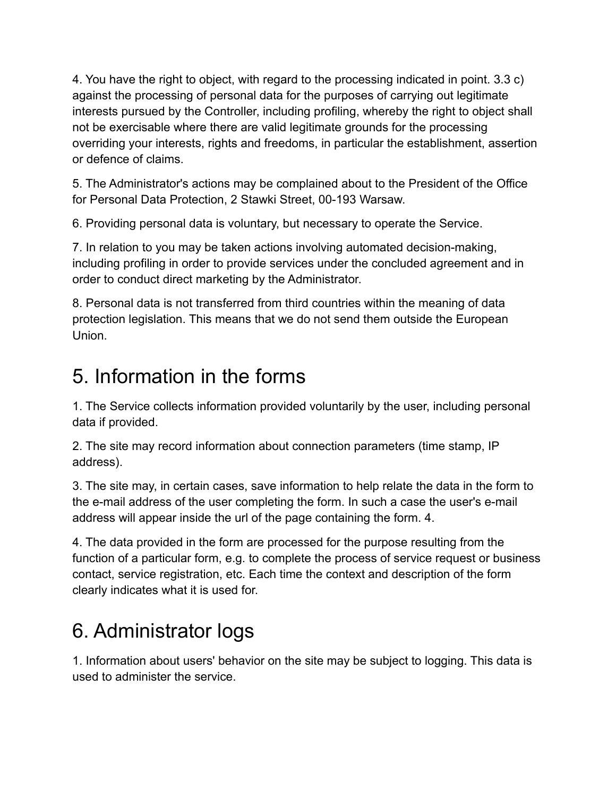4. You have the right to object, with regard to the processing indicated in point. 3.3 c) against the processing of personal data for the purposes of carrying out legitimate interests pursued by the Controller, including profiling, whereby the right to object shall not be exercisable where there are valid legitimate grounds for the processing overriding your interests, rights and freedoms, in particular the establishment, assertion or defence of claims.

5. The Administrator's actions may be complained about to the President of the Office for Personal Data Protection, 2 Stawki Street, 00-193 Warsaw.

6. Providing personal data is voluntary, but necessary to operate the Service.

7. In relation to you may be taken actions involving automated decision-making, including profiling in order to provide services under the concluded agreement and in order to conduct direct marketing by the Administrator.

8. Personal data is not transferred from third countries within the meaning of data protection legislation. This means that we do not send them outside the European Union.

### 5. Information in the forms

1. The Service collects information provided voluntarily by the user, including personal data if provided.

2. The site may record information about connection parameters (time stamp, IP address).

3. The site may, in certain cases, save information to help relate the data in the form to the e-mail address of the user completing the form. In such a case the user's e-mail address will appear inside the url of the page containing the form. 4.

4. The data provided in the form are processed for the purpose resulting from the function of a particular form, e.g. to complete the process of service request or business contact, service registration, etc. Each time the context and description of the form clearly indicates what it is used for.

# 6. Administrator logs

1. Information about users' behavior on the site may be subject to logging. This data is used to administer the service.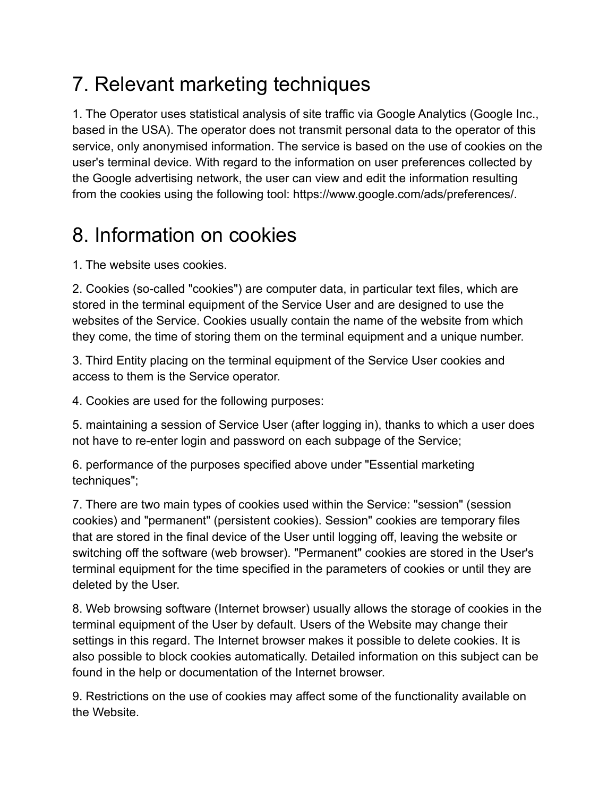# 7. Relevant marketing techniques

1. The Operator uses statistical analysis of site traffic via Google Analytics (Google Inc., based in the USA). The operator does not transmit personal data to the operator of this service, only anonymised information. The service is based on the use of cookies on the user's terminal device. With regard to the information on user preferences collected by the Google advertising network, the user can view and edit the information resulting from the cookies using the following tool: https://www.google.com/ads/preferences/.

## 8. Information on cookies

1. The website uses cookies.

2. Cookies (so-called "cookies") are computer data, in particular text files, which are stored in the terminal equipment of the Service User and are designed to use the websites of the Service. Cookies usually contain the name of the website from which they come, the time of storing them on the terminal equipment and a unique number.

3. Third Entity placing on the terminal equipment of the Service User cookies and access to them is the Service operator.

4. Cookies are used for the following purposes:

5. maintaining a session of Service User (after logging in), thanks to which a user does not have to re-enter login and password on each subpage of the Service;

6. performance of the purposes specified above under "Essential marketing techniques";

7. There are two main types of cookies used within the Service: "session" (session cookies) and "permanent" (persistent cookies). Session" cookies are temporary files that are stored in the final device of the User until logging off, leaving the website or switching off the software (web browser). "Permanent" cookies are stored in the User's terminal equipment for the time specified in the parameters of cookies or until they are deleted by the User.

8. Web browsing software (Internet browser) usually allows the storage of cookies in the terminal equipment of the User by default. Users of the Website may change their settings in this regard. The Internet browser makes it possible to delete cookies. It is also possible to block cookies automatically. Detailed information on this subject can be found in the help or documentation of the Internet browser.

9. Restrictions on the use of cookies may affect some of the functionality available on the Website.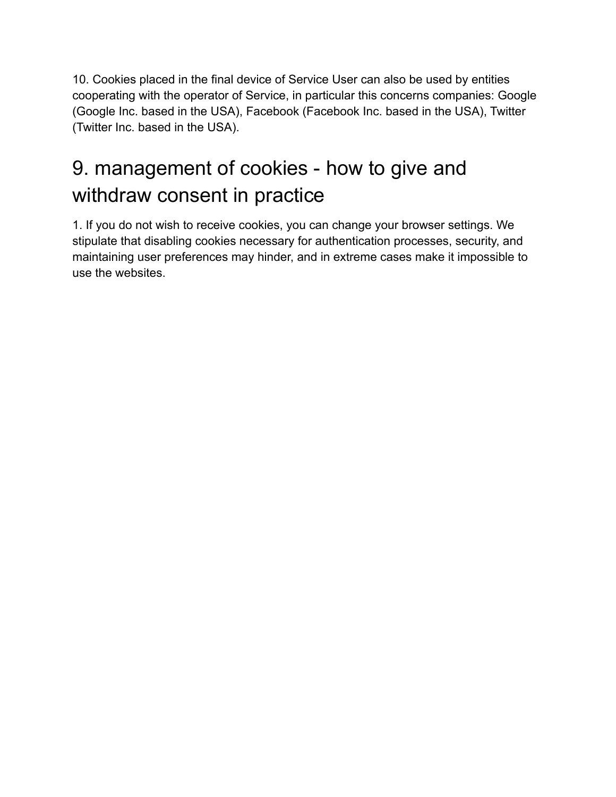10. Cookies placed in the final device of Service User can also be used by entities cooperating with the operator of Service, in particular this concerns companies: Google (Google Inc. based in the USA), Facebook (Facebook Inc. based in the USA), Twitter (Twitter Inc. based in the USA).

# 9. management of cookies - how to give and withdraw consent in practice

1. If you do not wish to receive cookies, you can change your browser settings. We stipulate that disabling cookies necessary for authentication processes, security, and maintaining user preferences may hinder, and in extreme cases make it impossible to use the websites.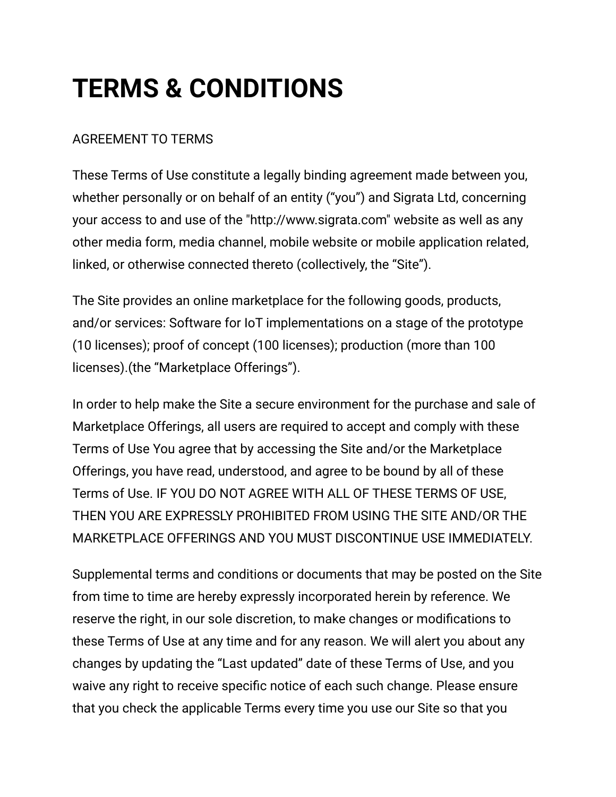# **TERMS & CONDITIONS**

### AGREEMENT TO TERMS

These Terms of Use constitute a legally binding agreement made between you, whether personally or on behalf of an entity ("you") and Sigrata Ltd, concerning your access to and use of the "http://www.sigrata.com" website as well as any other media form, media channel, mobile website or mobile application related, linked, or otherwise connected thereto (collectively, the "Site").

The Site provides an online marketplace for the following goods, products, and/or services: Software for IoT implementations on a stage of the prototype (10 licenses); proof of concept (100 licenses); production (more than 100 licenses).(the "Marketplace Offerings").

In order to help make the Site a secure environment for the purchase and sale of Marketplace Offerings, all users are required to accept and comply with these Terms of Use You agree that by accessing the Site and/or the Marketplace Offerings, you have read, understood, and agree to be bound by all of these Terms of Use. IF YOU DO NOT AGREE WITH ALL OF THESE TERMS OF USE, THEN YOU ARE EXPRESSLY PROHIBITED FROM USING THE SITE AND/OR THE MARKETPLACE OFFERINGS AND YOU MUST DISCONTINUE USE IMMEDIATELY.

Supplemental terms and conditions or documents that may be posted on the Site from time to time are hereby expressly incorporated herein by reference. We reserve the right, in our sole discretion, to make changes or modifications to these Terms of Use at any time and for any reason. We will alert you about any changes by updating the "Last updated" date of these Terms of Use, and you waive any right to receive specific notice of each such change. Please ensure that you check the applicable Terms every time you use our Site so that you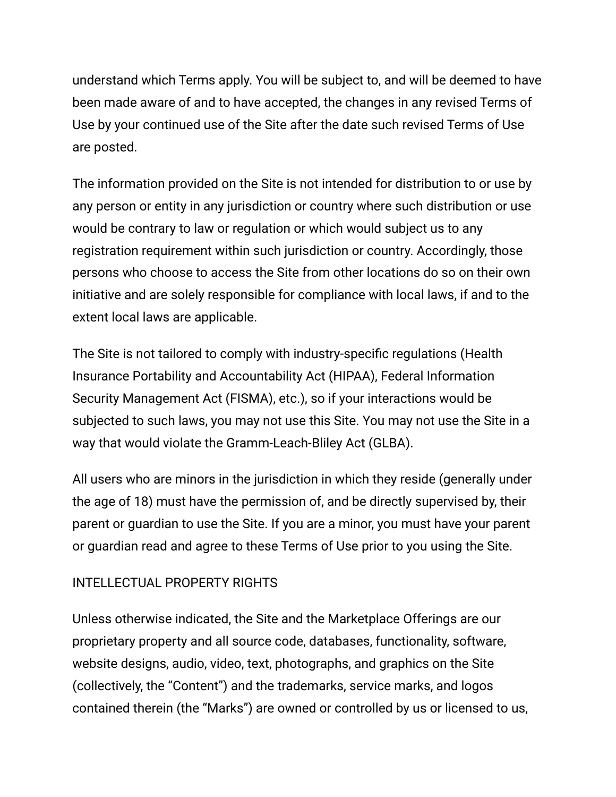understand which Terms apply. You will be subject to, and will be deemed to have been made aware of and to have accepted, the changes in any revised Terms of Use by your continued use of the Site after the date such revised Terms of Use are posted.

The information provided on the Site is not intended for distribution to or use by any person or entity in any jurisdiction or country where such distribution or use would be contrary to law or regulation or which would subject us to any registration requirement within such jurisdiction or country. Accordingly, those persons who choose to access the Site from other locations do so on their own initiative and are solely responsible for compliance with local laws, if and to the extent local laws are applicable.

The Site is not tailored to comply with industry-specific regulations (Health Insurance Portability and Accountability Act (HIPAA), Federal Information Security Management Act (FISMA), etc.), so if your interactions would be subjected to such laws, you may not use this Site. You may not use the Site in a way that would violate the Gramm-Leach-Bliley Act (GLBA).

All users who are minors in the jurisdiction in which they reside (generally under the age of 18) must have the permission of, and be directly supervised by, their parent or guardian to use the Site. If you are a minor, you must have your parent or guardian read and agree to these Terms of Use prior to you using the Site.

### INTELLECTUAL PROPERTY RIGHTS

Unless otherwise indicated, the Site and the Marketplace Offerings are our proprietary property and all source code, databases, functionality, software, website designs, audio, video, text, photographs, and graphics on the Site (collectively, the "Content") and the trademarks, service marks, and logos contained therein (the "Marks") are owned or controlled by us or licensed to us,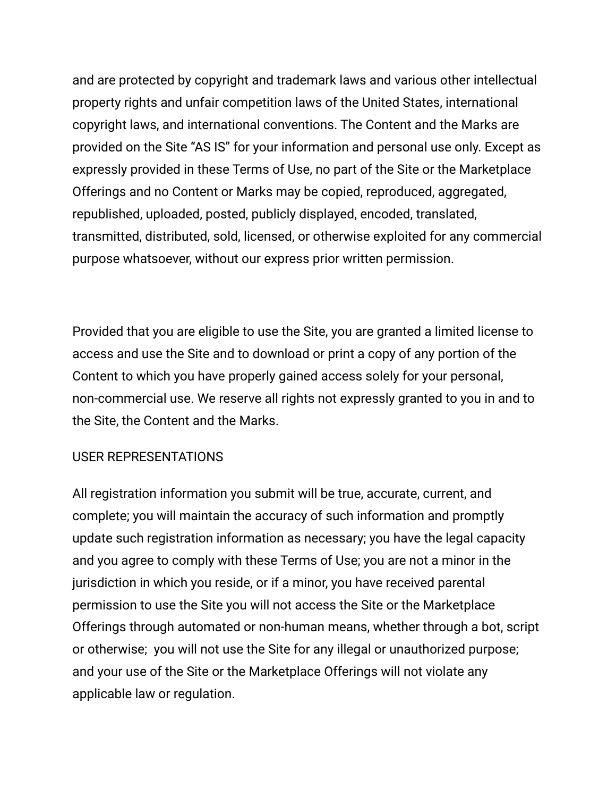and are protected by copyright and trademark laws and various other intellectual property rights and unfair competition laws of the United States, international copyright laws, and international conventions. The Content and the Marks are provided on the Site "AS IS" for your information and personal use only. Except as expressly provided in these Terms of Use, no part of the Site or the Marketplace Offerings and no Content or Marks may be copied, reproduced, aggregated, republished, uploaded, posted, publicly displayed, encoded, translated, transmitted, distributed, sold, licensed, or otherwise exploited for any commercial purpose whatsoever, without our express prior written permission.

Provided that you are eligible to use the Site, you are granted a limited license to access and use the Site and to download or print a copy of any portion of the Content to which you have properly gained access solely for your personal, non-commercial use. We reserve all rights not expressly granted to you in and to the Site, the Content and the Marks.

#### USER REPRESENTATIONS

All registration information you submit will be true, accurate, current, and complete; you will maintain the accuracy of such information and promptly update such registration information as necessary; you have the legal capacity and you agree to comply with these Terms of Use; you are not a minor in the jurisdiction in which you reside, or if a minor, you have received parental permission to use the Site you will not access the Site or the Marketplace Offerings through automated or non-human means, whether through a bot, script or otherwise; you will not use the Site for any illegal or unauthorized purpose; and your use of the Site or the Marketplace Offerings will not violate any applicable law or regulation.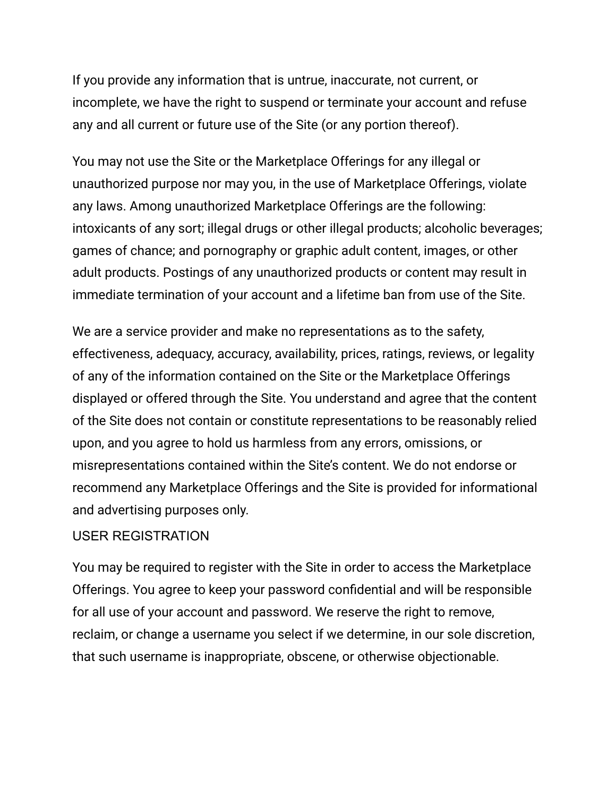If you provide any information that is untrue, inaccurate, not current, or incomplete, we have the right to suspend or terminate your account and refuse any and all current or future use of the Site (or any portion thereof).

You may not use the Site or the Marketplace Offerings for any illegal or unauthorized purpose nor may you, in the use of Marketplace Offerings, violate any laws. Among unauthorized Marketplace Offerings are the following: intoxicants of any sort; illegal drugs or other illegal products; alcoholic beverages; games of chance; and pornography or graphic adult content, images, or other adult products. Postings of any unauthorized products or content may result in immediate termination of your account and a lifetime ban from use of the Site.

We are a service provider and make no representations as to the safety, effectiveness, adequacy, accuracy, availability, prices, ratings, reviews, or legality of any of the information contained on the Site or the Marketplace Offerings displayed or offered through the Site. You understand and agree that the content of the Site does not contain or constitute representations to be reasonably relied upon, and you agree to hold us harmless from any errors, omissions, or misrepresentations contained within the Site's content. We do not endorse or recommend any Marketplace Offerings and the Site is provided for informational and advertising purposes only.

#### USER REGISTRATION

You may be required to register with the Site in order to access the Marketplace Offerings. You agree to keep your password confidential and will be responsible for all use of your account and password. We reserve the right to remove, reclaim, or change a username you select if we determine, in our sole discretion, that such username is inappropriate, obscene, or otherwise objectionable.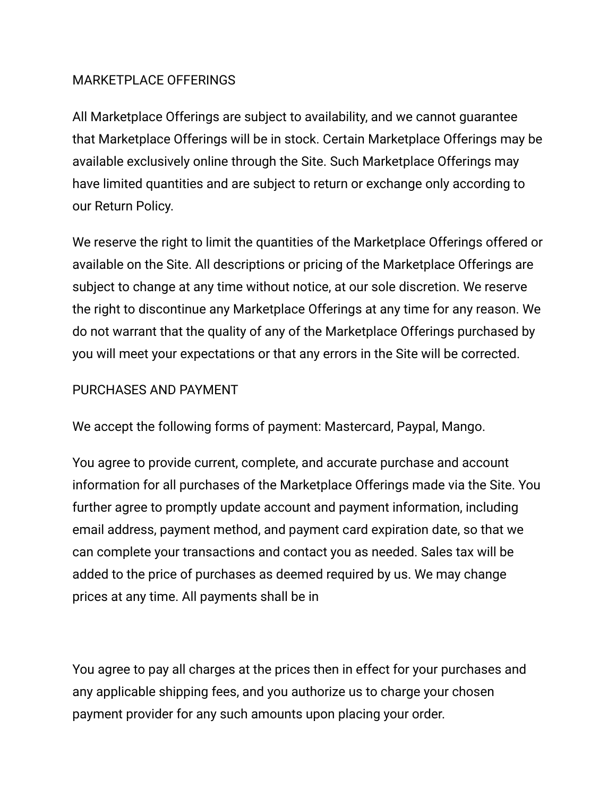#### MARKETPLACE OFFERINGS

All Marketplace Offerings are subject to availability, and we cannot guarantee that Marketplace Offerings will be in stock. Certain Marketplace Offerings may be available exclusively online through the Site. Such Marketplace Offerings may have limited quantities and are subject to return or exchange only according to our Return Policy.

We reserve the right to limit the quantities of the Marketplace Offerings offered or available on the Site. All descriptions or pricing of the Marketplace Offerings are subject to change at any time without notice, at our sole discretion. We reserve the right to discontinue any Marketplace Offerings at any time for any reason. We do not warrant that the quality of any of the Marketplace Offerings purchased by you will meet your expectations or that any errors in the Site will be corrected.

#### PURCHASES AND PAYMENT

We accept the following forms of payment: Mastercard, Paypal, Mango.

You agree to provide current, complete, and accurate purchase and account information for all purchases of the Marketplace Offerings made via the Site. You further agree to promptly update account and payment information, including email address, payment method, and payment card expiration date, so that we can complete your transactions and contact you as needed. Sales tax will be added to the price of purchases as deemed required by us. We may change prices at any time. All payments shall be in

You agree to pay all charges at the prices then in effect for your purchases and any applicable shipping fees, and you authorize us to charge your chosen payment provider for any such amounts upon placing your order.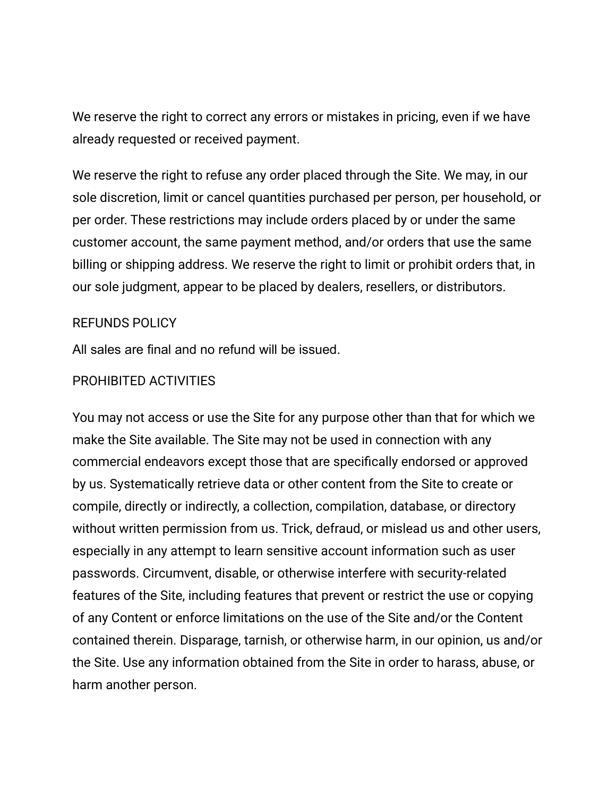We reserve the right to correct any errors or mistakes in pricing, even if we have already requested or received payment.

We reserve the right to refuse any order placed through the Site. We may, in our sole discretion, limit or cancel quantities purchased per person, per household, or per order. These restrictions may include orders placed by or under the same customer account, the same payment method, and/or orders that use the same billing or shipping address. We reserve the right to limit or prohibit orders that, in our sole judgment, appear to be placed by dealers, resellers, or distributors.

#### REFUNDS POLICY

All sales are final and no refund will be issued.

#### PROHIBITED ACTIVITIES

You may not access or use the Site for any purpose other than that for which we make the Site available. The Site may not be used in connection with any commercial endeavors except those that are specifically endorsed or approved by us. Systematically retrieve data or other content from the Site to create or compile, directly or indirectly, a collection, compilation, database, or directory without written permission from us. Trick, defraud, or mislead us and other users, especially in any attempt to learn sensitive account information such as user passwords. Circumvent, disable, or otherwise interfere with security-related features of the Site, including features that prevent or restrict the use or copying of any Content or enforce limitations on the use of the Site and/or the Content contained therein. Disparage, tarnish, or otherwise harm, in our opinion, us and/or the Site. Use any information obtained from the Site in order to harass, abuse, or harm another person.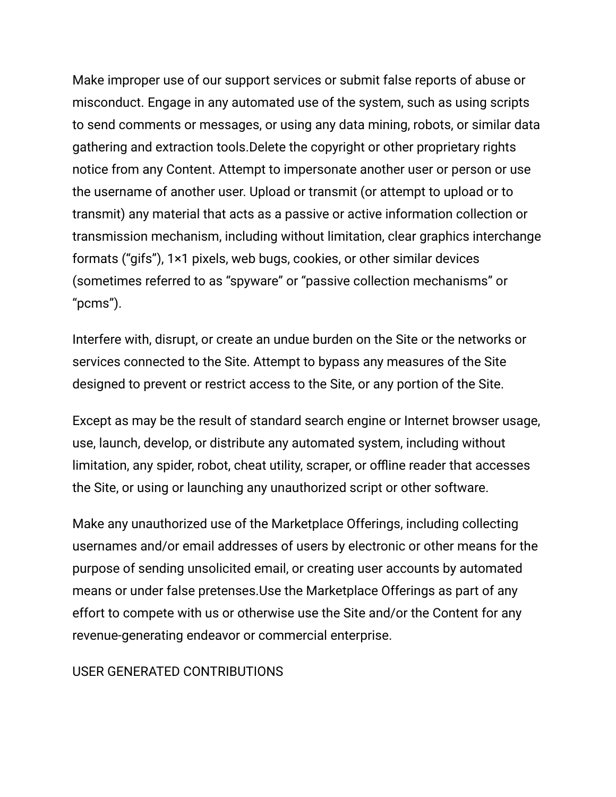Make improper use of our support services or submit false reports of abuse or misconduct. Engage in any automated use of the system, such as using scripts to send comments or messages, or using any data mining, robots, or similar data gathering and extraction tools.Delete the copyright or other proprietary rights notice from any Content. Attempt to impersonate another user or person or use the username of another user. Upload or transmit (or attempt to upload or to transmit) any material that acts as a passive or active information collection or transmission mechanism, including without limitation, clear graphics interchange formats ("gifs"), 1×1 pixels, web bugs, cookies, or other similar devices (sometimes referred to as "spyware" or "passive collection mechanisms" or "pcms").

Interfere with, disrupt, or create an undue burden on the Site or the networks or services connected to the Site. Attempt to bypass any measures of the Site designed to prevent or restrict access to the Site, or any portion of the Site.

Except as may be the result of standard search engine or Internet browser usage, use, launch, develop, or distribute any automated system, including without limitation, any spider, robot, cheat utility, scraper, or offline reader that accesses the Site, or using or launching any unauthorized script or other software.

Make any unauthorized use of the Marketplace Offerings, including collecting usernames and/or email addresses of users by electronic or other means for the purpose of sending unsolicited email, or creating user accounts by automated means or under false pretenses.Use the Marketplace Offerings as part of any effort to compete with us or otherwise use the Site and/or the Content for any revenue-generating endeavor or commercial enterprise.

#### USER GENERATED CONTRIBUTIONS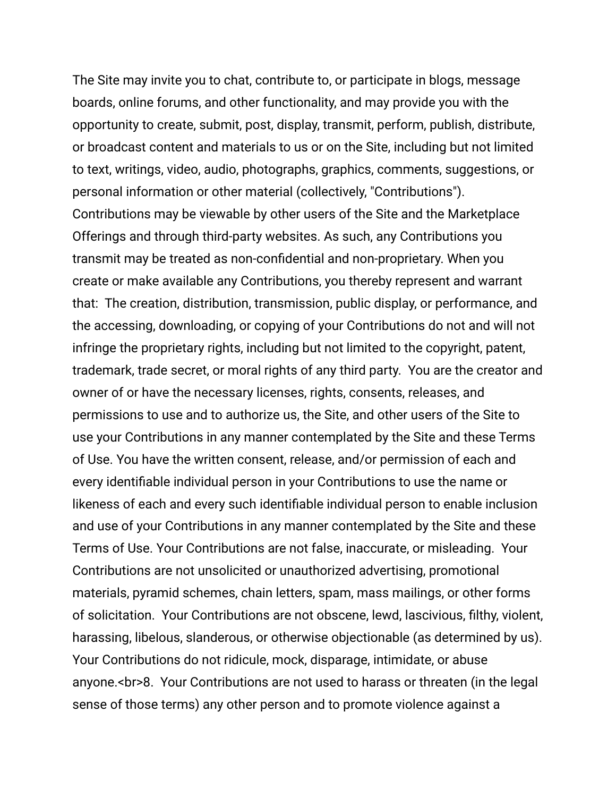The Site may invite you to chat, contribute to, or participate in blogs, message boards, online forums, and other functionality, and may provide you with the opportunity to create, submit, post, display, transmit, perform, publish, distribute, or broadcast content and materials to us or on the Site, including but not limited to text, writings, video, audio, photographs, graphics, comments, suggestions, or personal information or other material (collectively, "Contributions"). Contributions may be viewable by other users of the Site and the Marketplace Offerings and through third-party websites. As such, any Contributions you transmit may be treated as non-confidential and non-proprietary. When you create or make available any Contributions, you thereby represent and warrant that: The creation, distribution, transmission, public display, or performance, and the accessing, downloading, or copying of your Contributions do not and will not infringe the proprietary rights, including but not limited to the copyright, patent, trademark, trade secret, or moral rights of any third party. You are the creator and owner of or have the necessary licenses, rights, consents, releases, and permissions to use and to authorize us, the Site, and other users of the Site to use your Contributions in any manner contemplated by the Site and these Terms of Use. You have the written consent, release, and/or permission of each and every identifiable individual person in your Contributions to use the name or likeness of each and every such identifiable individual person to enable inclusion and use of your Contributions in any manner contemplated by the Site and these Terms of Use. Your Contributions are not false, inaccurate, or misleading. Your Contributions are not unsolicited or unauthorized advertising, promotional materials, pyramid schemes, chain letters, spam, mass mailings, or other forms of solicitation. Your Contributions are not obscene, lewd, lascivious, filthy, violent, harassing, libelous, slanderous, or otherwise objectionable (as determined by us). Your Contributions do not ridicule, mock, disparage, intimidate, or abuse anyone.<br>8. Your Contributions are not used to harass or threaten (in the legal sense of those terms) any other person and to promote violence against a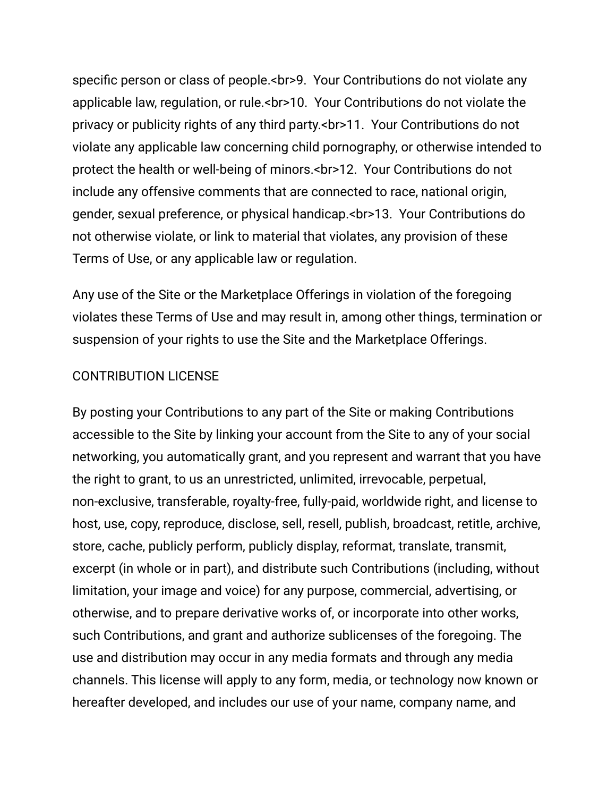specific person or class of people.<br>9. Your Contributions do not violate any applicable law, regulation, or rule.<br>10. Your Contributions do not violate the privacy or publicity rights of any third party.<br>11. Your Contributions do not violate any applicable law concerning child pornography, or otherwise intended to protect the health or well-being of minors.<br>12. Your Contributions do not include any offensive comments that are connected to race, national origin, gender, sexual preference, or physical handicap.<br>13. Your Contributions do not otherwise violate, or link to material that violates, any provision of these Terms of Use, or any applicable law or regulation.

Any use of the Site or the Marketplace Offerings in violation of the foregoing violates these Terms of Use and may result in, among other things, termination or suspension of your rights to use the Site and the Marketplace Offerings.

#### CONTRIBUTION LICENSE

By posting your Contributions to any part of the Site or making Contributions accessible to the Site by linking your account from the Site to any of your social networking, you automatically grant, and you represent and warrant that you have the right to grant, to us an unrestricted, unlimited, irrevocable, perpetual, non-exclusive, transferable, royalty-free, fully-paid, worldwide right, and license to host, use, copy, reproduce, disclose, sell, resell, publish, broadcast, retitle, archive, store, cache, publicly perform, publicly display, reformat, translate, transmit, excerpt (in whole or in part), and distribute such Contributions (including, without limitation, your image and voice) for any purpose, commercial, advertising, or otherwise, and to prepare derivative works of, or incorporate into other works, such Contributions, and grant and authorize sublicenses of the foregoing. The use and distribution may occur in any media formats and through any media channels. This license will apply to any form, media, or technology now known or hereafter developed, and includes our use of your name, company name, and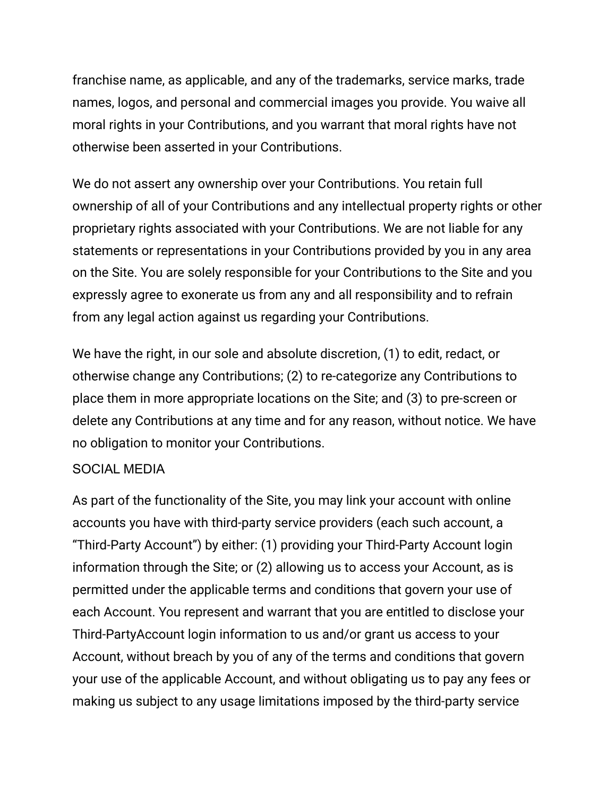franchise name, as applicable, and any of the trademarks, service marks, trade names, logos, and personal and commercial images you provide. You waive all moral rights in your Contributions, and you warrant that moral rights have not otherwise been asserted in your Contributions.

We do not assert any ownership over your Contributions. You retain full ownership of all of your Contributions and any intellectual property rights or other proprietary rights associated with your Contributions. We are not liable for any statements or representations in your Contributions provided by you in any area on the Site. You are solely responsible for your Contributions to the Site and you expressly agree to exonerate us from any and all responsibility and to refrain from any legal action against us regarding your Contributions.

We have the right, in our sole and absolute discretion, (1) to edit, redact, or otherwise change any Contributions; (2) to re-categorize any Contributions to place them in more appropriate locations on the Site; and (3) to pre-screen or delete any Contributions at any time and for any reason, without notice. We have no obligation to monitor your Contributions.

### SOCIAL MEDIA

As part of the functionality of the Site, you may link your account with online accounts you have with third-party service providers (each such account, a "Third-Party Account") by either: (1) providing your Third-Party Account login information through the Site; or (2) allowing us to access your Account, as is permitted under the applicable terms and conditions that govern your use of each Account. You represent and warrant that you are entitled to disclose your Third-PartyAccount login information to us and/or grant us access to your Account, without breach by you of any of the terms and conditions that govern your use of the applicable Account, and without obligating us to pay any fees or making us subject to any usage limitations imposed by the third-party service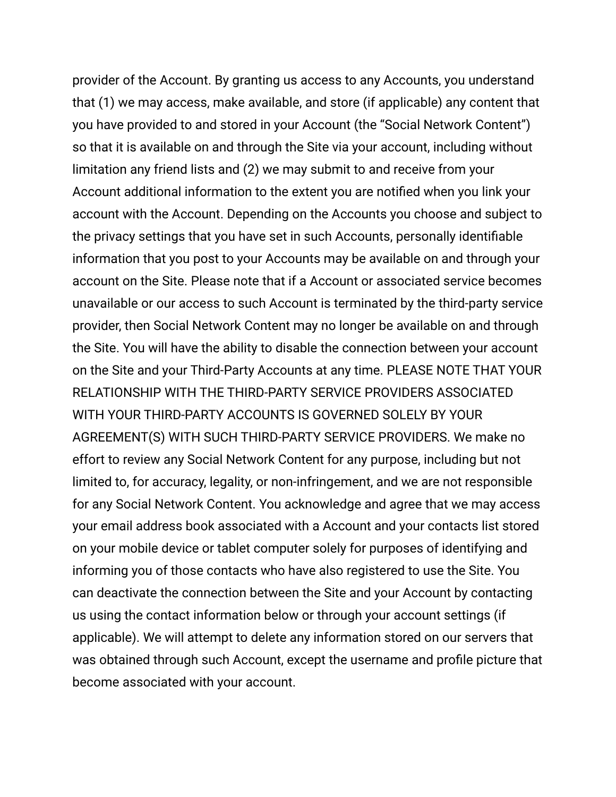provider of the Account. By granting us access to any Accounts, you understand that (1) we may access, make available, and store (if applicable) any content that you have provided to and stored in your Account (the "Social Network Content") so that it is available on and through the Site via your account, including without limitation any friend lists and (2) we may submit to and receive from your Account additional information to the extent you are notified when you link your account with the Account. Depending on the Accounts you choose and subject to the privacy settings that you have set in such Accounts, personally identifiable information that you post to your Accounts may be available on and through your account on the Site. Please note that if a Account or associated service becomes unavailable or our access to such Account is terminated by the third-party service provider, then Social Network Content may no longer be available on and through the Site. You will have the ability to disable the connection between your account on the Site and your Third-Party Accounts at any time. PLEASE NOTE THAT YOUR RELATIONSHIP WITH THE THIRD-PARTY SERVICE PROVIDERS ASSOCIATED WITH YOUR THIRD-PARTY ACCOUNTS IS GOVERNED SOLELY BY YOUR AGREEMENT(S) WITH SUCH THIRD-PARTY SERVICE PROVIDERS. We make no effort to review any Social Network Content for any purpose, including but not limited to, for accuracy, legality, or non-infringement, and we are not responsible for any Social Network Content. You acknowledge and agree that we may access your email address book associated with a Account and your contacts list stored on your mobile device or tablet computer solely for purposes of identifying and informing you of those contacts who have also registered to use the Site. You can deactivate the connection between the Site and your Account by contacting us using the contact information below or through your account settings (if applicable). We will attempt to delete any information stored on our servers that was obtained through such Account, except the username and profile picture that become associated with your account.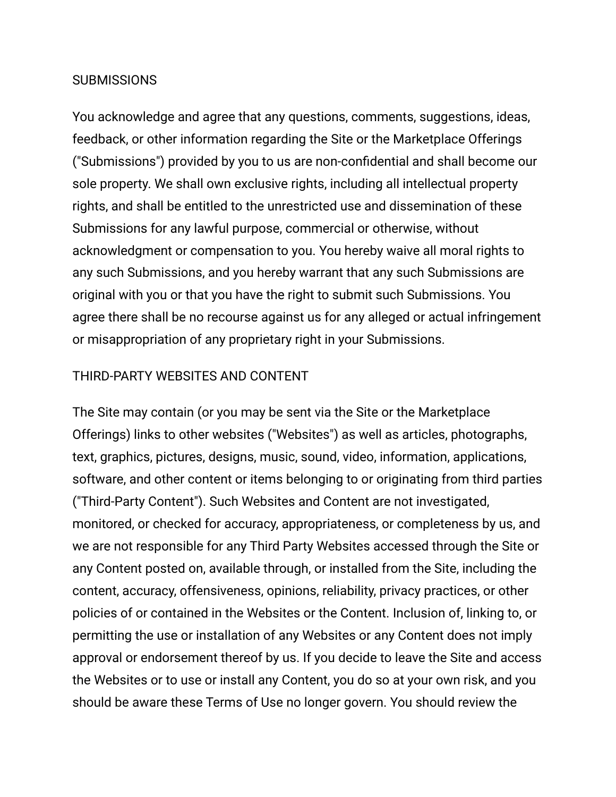#### **SUBMISSIONS**

You acknowledge and agree that any questions, comments, suggestions, ideas, feedback, or other information regarding the Site or the Marketplace Offerings ("Submissions") provided by you to us are non-confidential and shall become our sole property. We shall own exclusive rights, including all intellectual property rights, and shall be entitled to the unrestricted use and dissemination of these Submissions for any lawful purpose, commercial or otherwise, without acknowledgment or compensation to you. You hereby waive all moral rights to any such Submissions, and you hereby warrant that any such Submissions are original with you or that you have the right to submit such Submissions. You agree there shall be no recourse against us for any alleged or actual infringement or misappropriation of any proprietary right in your Submissions.

#### THIRD-PARTY WEBSITES AND CONTENT

The Site may contain (or you may be sent via the Site or the Marketplace Offerings) links to other websites ("Websites") as well as articles, photographs, text, graphics, pictures, designs, music, sound, video, information, applications, software, and other content or items belonging to or originating from third parties ("Third-Party Content"). Such Websites and Content are not investigated, monitored, or checked for accuracy, appropriateness, or completeness by us, and we are not responsible for any Third Party Websites accessed through the Site or any Content posted on, available through, or installed from the Site, including the content, accuracy, offensiveness, opinions, reliability, privacy practices, or other policies of or contained in the Websites or the Content. Inclusion of, linking to, or permitting the use or installation of any Websites or any Content does not imply approval or endorsement thereof by us. If you decide to leave the Site and access the Websites or to use or install any Content, you do so at your own risk, and you should be aware these Terms of Use no longer govern. You should review the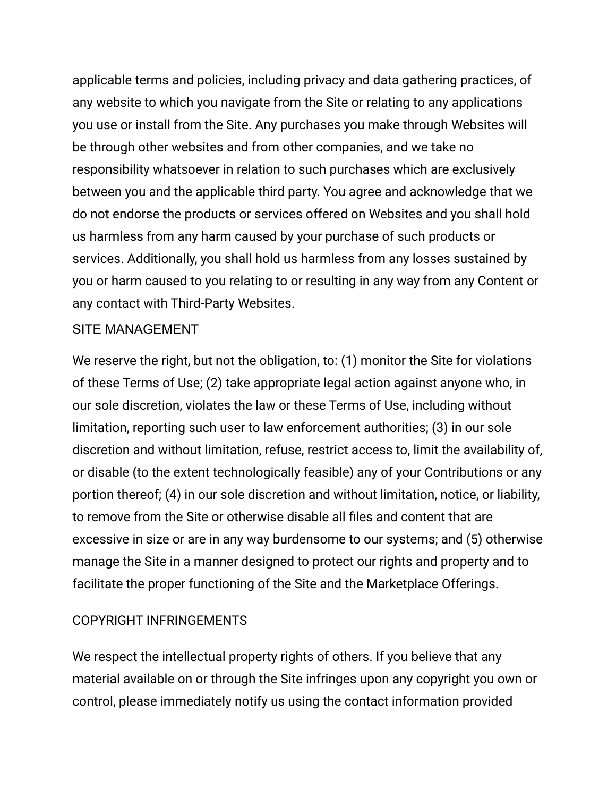applicable terms and policies, including privacy and data gathering practices, of any website to which you navigate from the Site or relating to any applications you use or install from the Site. Any purchases you make through Websites will be through other websites and from other companies, and we take no responsibility whatsoever in relation to such purchases which are exclusively between you and the applicable third party. You agree and acknowledge that we do not endorse the products or services offered on Websites and you shall hold us harmless from any harm caused by your purchase of such products or services. Additionally, you shall hold us harmless from any losses sustained by you or harm caused to you relating to or resulting in any way from any Content or any contact with Third-Party Websites.

#### SITE MANAGEMENT

We reserve the right, but not the obligation, to: (1) monitor the Site for violations of these Terms of Use; (2) take appropriate legal action against anyone who, in our sole discretion, violates the law or these Terms of Use, including without limitation, reporting such user to law enforcement authorities; (3) in our sole discretion and without limitation, refuse, restrict access to, limit the availability of, or disable (to the extent technologically feasible) any of your Contributions or any portion thereof; (4) in our sole discretion and without limitation, notice, or liability, to remove from the Site or otherwise disable all files and content that are excessive in size or are in any way burdensome to our systems; and (5) otherwise manage the Site in a manner designed to protect our rights and property and to facilitate the proper functioning of the Site and the Marketplace Offerings.

#### COPYRIGHT INFRINGEMENTS

We respect the intellectual property rights of others. If you believe that any material available on or through the Site infringes upon any copyright you own or control, please immediately notify us using the contact information provided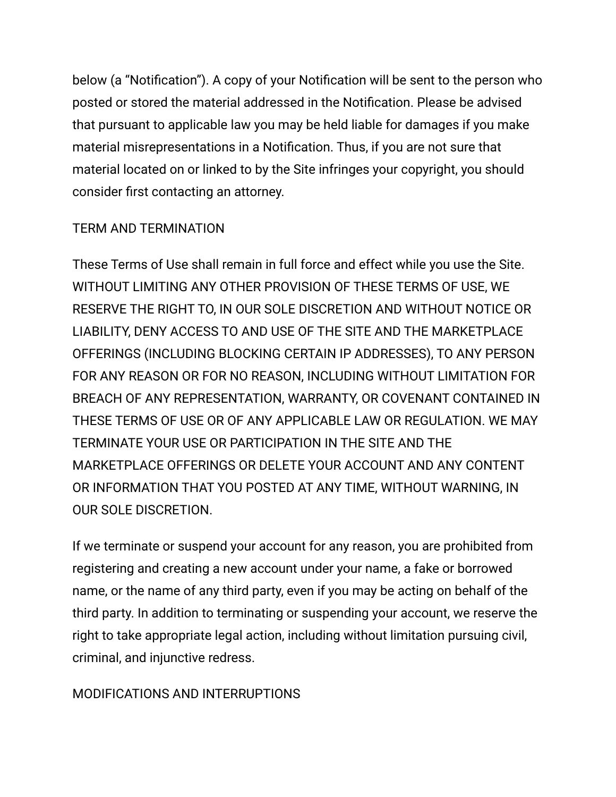below (a "Notification"). A copy of your Notification will be sent to the person who posted or stored the material addressed in the Notification. Please be advised that pursuant to applicable law you may be held liable for damages if you make material misrepresentations in a Notification. Thus, if you are not sure that material located on or linked to by the Site infringes your copyright, you should consider first contacting an attorney.

### TERM AND TERMINATION

These Terms of Use shall remain in full force and effect while you use the Site. WITHOUT LIMITING ANY OTHER PROVISION OF THESE TERMS OF USE, WE RESERVE THE RIGHT TO, IN OUR SOLE DISCRETION AND WITHOUT NOTICE OR LIABILITY, DENY ACCESS TO AND USE OF THE SITE AND THE MARKETPLACE OFFERINGS (INCLUDING BLOCKING CERTAIN IP ADDRESSES), TO ANY PERSON FOR ANY REASON OR FOR NO REASON, INCLUDING WITHOUT LIMITATION FOR BREACH OF ANY REPRESENTATION, WARRANTY, OR COVENANT CONTAINED IN THESE TERMS OF USE OR OF ANY APPLICABLE LAW OR REGULATION. WE MAY TERMINATE YOUR USE OR PARTICIPATION IN THE SITE AND THE MARKETPLACE OFFERINGS OR DELETE YOUR ACCOUNT AND ANY CONTENT OR INFORMATION THAT YOU POSTED AT ANY TIME, WITHOUT WARNING, IN OUR SOLE DISCRETION.

If we terminate or suspend your account for any reason, you are prohibited from registering and creating a new account under your name, a fake or borrowed name, or the name of any third party, even if you may be acting on behalf of the third party. In addition to terminating or suspending your account, we reserve the right to take appropriate legal action, including without limitation pursuing civil, criminal, and injunctive redress.

### MODIFICATIONS AND INTERRUPTIONS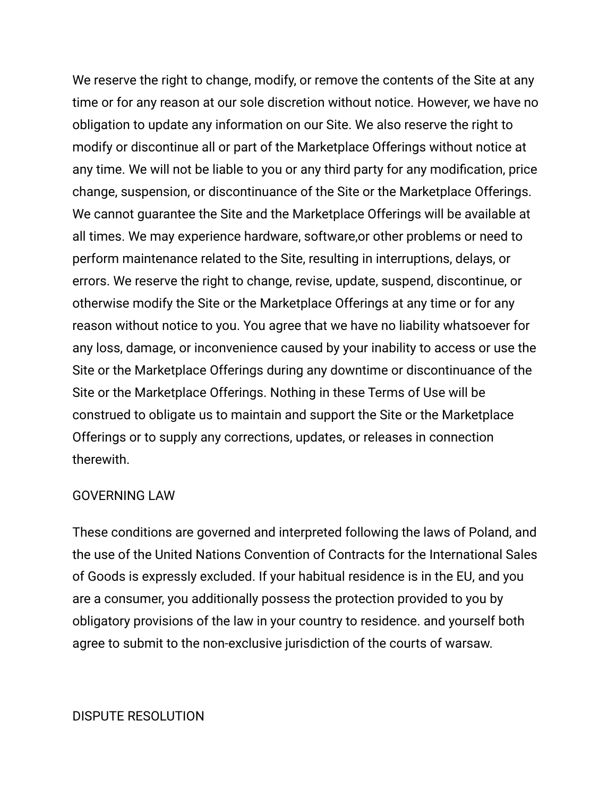We reserve the right to change, modify, or remove the contents of the Site at any time or for any reason at our sole discretion without notice. However, we have no obligation to update any information on our Site. We also reserve the right to modify or discontinue all or part of the Marketplace Offerings without notice at any time. We will not be liable to you or any third party for any modification, price change, suspension, or discontinuance of the Site or the Marketplace Offerings. We cannot guarantee the Site and the Marketplace Offerings will be available at all times. We may experience hardware, software,or other problems or need to perform maintenance related to the Site, resulting in interruptions, delays, or errors. We reserve the right to change, revise, update, suspend, discontinue, or otherwise modify the Site or the Marketplace Offerings at any time or for any reason without notice to you. You agree that we have no liability whatsoever for any loss, damage, or inconvenience caused by your inability to access or use the Site or the Marketplace Offerings during any downtime or discontinuance of the Site or the Marketplace Offerings. Nothing in these Terms of Use will be construed to obligate us to maintain and support the Site or the Marketplace Offerings or to supply any corrections, updates, or releases in connection therewith.

#### GOVERNING LAW

These conditions are governed and interpreted following the laws of Poland, and the use of the United Nations Convention of Contracts for the International Sales of Goods is expressly excluded. If your habitual residence is in the EU, and you are a consumer, you additionally possess the protection provided to you by obligatory provisions of the law in your country to residence. and yourself both agree to submit to the non-exclusive jurisdiction of the courts of warsaw.

#### DISPUTE RESOLUTION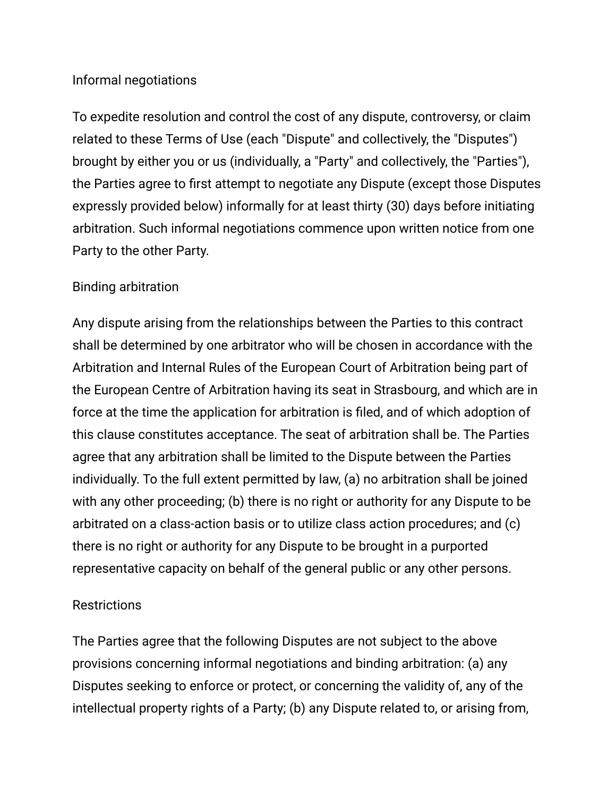#### Informal negotiations

To expedite resolution and control the cost of any dispute, controversy, or claim related to these Terms of Use (each "Dispute" and collectively, the "Disputes") brought by either you or us (individually, a "Party" and collectively, the "Parties"), the Parties agree to first attempt to negotiate any Dispute (except those Disputes expressly provided below) informally for at least thirty (30) days before initiating arbitration. Such informal negotiations commence upon written notice from one Party to the other Party.

### Binding arbitration

Any dispute arising from the relationships between the Parties to this contract shall be determined by one arbitrator who will be chosen in accordance with the Arbitration and Internal Rules of the European Court of Arbitration being part of the European Centre of Arbitration having its seat in Strasbourg, and which are in force at the time the application for arbitration is filed, and of which adoption of this clause constitutes acceptance. The seat of arbitration shall be. The Parties agree that any arbitration shall be limited to the Dispute between the Parties individually. To the full extent permitted by law, (a) no arbitration shall be joined with any other proceeding; (b) there is no right or authority for any Dispute to be arbitrated on a class-action basis or to utilize class action procedures; and (c) there is no right or authority for any Dispute to be brought in a purported representative capacity on behalf of the general public or any other persons.

#### **Restrictions**

The Parties agree that the following Disputes are not subject to the above provisions concerning informal negotiations and binding arbitration: (a) any Disputes seeking to enforce or protect, or concerning the validity of, any of the intellectual property rights of a Party; (b) any Dispute related to, or arising from,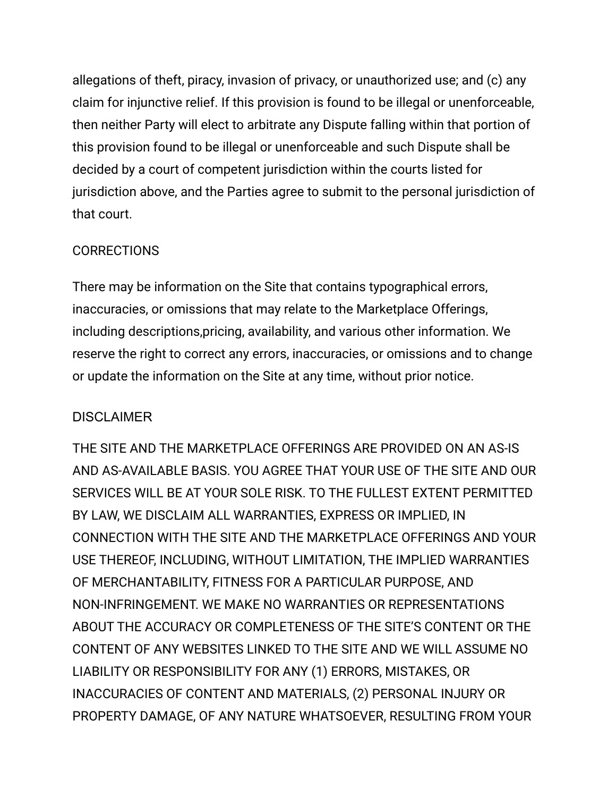allegations of theft, piracy, invasion of privacy, or unauthorized use; and (c) any claim for injunctive relief. If this provision is found to be illegal or unenforceable, then neither Party will elect to arbitrate any Dispute falling within that portion of this provision found to be illegal or unenforceable and such Dispute shall be decided by a court of competent jurisdiction within the courts listed for jurisdiction above, and the Parties agree to submit to the personal jurisdiction of that court.

### **CORRECTIONS**

There may be information on the Site that contains typographical errors, inaccuracies, or omissions that may relate to the Marketplace Offerings, including descriptions,pricing, availability, and various other information. We reserve the right to correct any errors, inaccuracies, or omissions and to change or update the information on the Site at any time, without prior notice.

### DISCI AIMER

THE SITE AND THE MARKETPLACE OFFERINGS ARE PROVIDED ON AN AS-IS AND AS-AVAILABLE BASIS. YOU AGREE THAT YOUR USE OF THE SITE AND OUR SERVICES WILL BE AT YOUR SOLE RISK. TO THE FULLEST EXTENT PERMITTED BY LAW, WE DISCLAIM ALL WARRANTIES, EXPRESS OR IMPLIED, IN CONNECTION WITH THE SITE AND THE MARKETPLACE OFFERINGS AND YOUR USE THEREOF, INCLUDING, WITHOUT LIMITATION, THE IMPLIED WARRANTIES OF MERCHANTABILITY, FITNESS FOR A PARTICULAR PURPOSE, AND NON-INFRINGEMENT. WE MAKE NO WARRANTIES OR REPRESENTATIONS ABOUT THE ACCURACY OR COMPLETENESS OF THE SITE'S CONTENT OR THE CONTENT OF ANY WEBSITES LINKED TO THE SITE AND WE WILL ASSUME NO LIABILITY OR RESPONSIBILITY FOR ANY (1) ERRORS, MISTAKES, OR INACCURACIES OF CONTENT AND MATERIALS, (2) PERSONAL INJURY OR PROPERTY DAMAGE, OF ANY NATURE WHATSOEVER, RESULTING FROM YOUR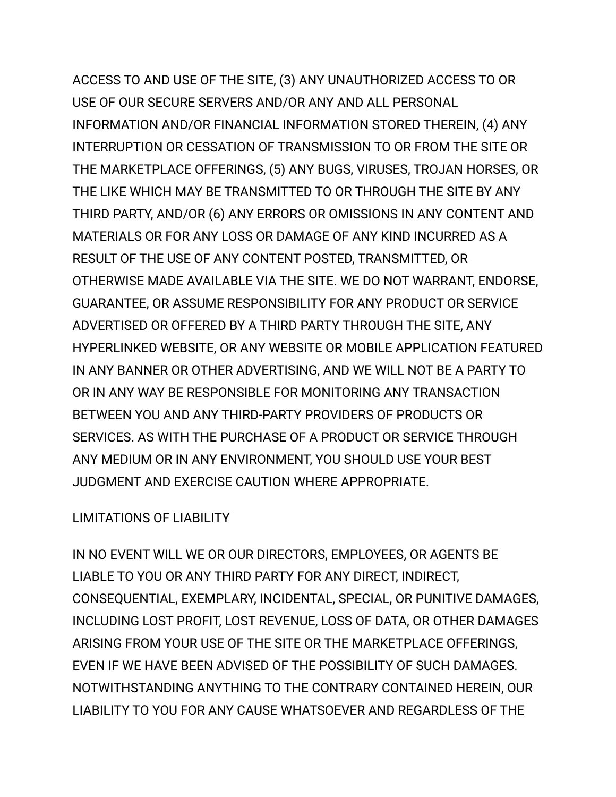ACCESS TO AND USE OF THE SITE, (3) ANY UNAUTHORIZED ACCESS TO OR USE OF OUR SECURE SERVERS AND/OR ANY AND ALL PERSONAL INFORMATION AND/OR FINANCIAL INFORMATION STORED THEREIN, (4) ANY INTERRUPTION OR CESSATION OF TRANSMISSION TO OR FROM THE SITE OR THE MARKETPLACE OFFERINGS, (5) ANY BUGS, VIRUSES, TROJAN HORSES, OR THE LIKE WHICH MAY BE TRANSMITTED TO OR THROUGH THE SITE BY ANY THIRD PARTY, AND/OR (6) ANY ERRORS OR OMISSIONS IN ANY CONTENT AND MATERIALS OR FOR ANY LOSS OR DAMAGE OF ANY KIND INCURRED AS A RESULT OF THE USE OF ANY CONTENT POSTED, TRANSMITTED, OR OTHERWISE MADE AVAILABLE VIA THE SITE. WE DO NOT WARRANT, ENDORSE, GUARANTEE, OR ASSUME RESPONSIBILITY FOR ANY PRODUCT OR SERVICE ADVERTISED OR OFFERED BY A THIRD PARTY THROUGH THE SITE, ANY HYPERLINKED WEBSITE, OR ANY WEBSITE OR MOBILE APPLICATION FEATURED IN ANY BANNER OR OTHER ADVERTISING, AND WE WILL NOT BE A PARTY TO OR IN ANY WAY BE RESPONSIBLE FOR MONITORING ANY TRANSACTION BETWEEN YOU AND ANY THIRD-PARTY PROVIDERS OF PRODUCTS OR SERVICES. AS WITH THE PURCHASE OF A PRODUCT OR SERVICE THROUGH ANY MEDIUM OR IN ANY ENVIRONMENT, YOU SHOULD USE YOUR BEST JUDGMENT AND EXERCISE CAUTION WHERE APPROPRIATE.

### LIMITATIONS OF LIABILITY

IN NO EVENT WILL WE OR OUR DIRECTORS, EMPLOYEES, OR AGENTS BE LIABLE TO YOU OR ANY THIRD PARTY FOR ANY DIRECT, INDIRECT, CONSEQUENTIAL, EXEMPLARY, INCIDENTAL, SPECIAL, OR PUNITIVE DAMAGES, INCLUDING LOST PROFIT, LOST REVENUE, LOSS OF DATA, OR OTHER DAMAGES ARISING FROM YOUR USE OF THE SITE OR THE MARKETPLACE OFFERINGS, EVEN IF WE HAVE BEEN ADVISED OF THE POSSIBILITY OF SUCH DAMAGES. NOTWITHSTANDING ANYTHING TO THE CONTRARY CONTAINED HEREIN, OUR LIABILITY TO YOU FOR ANY CAUSE WHATSOEVER AND REGARDLESS OF THE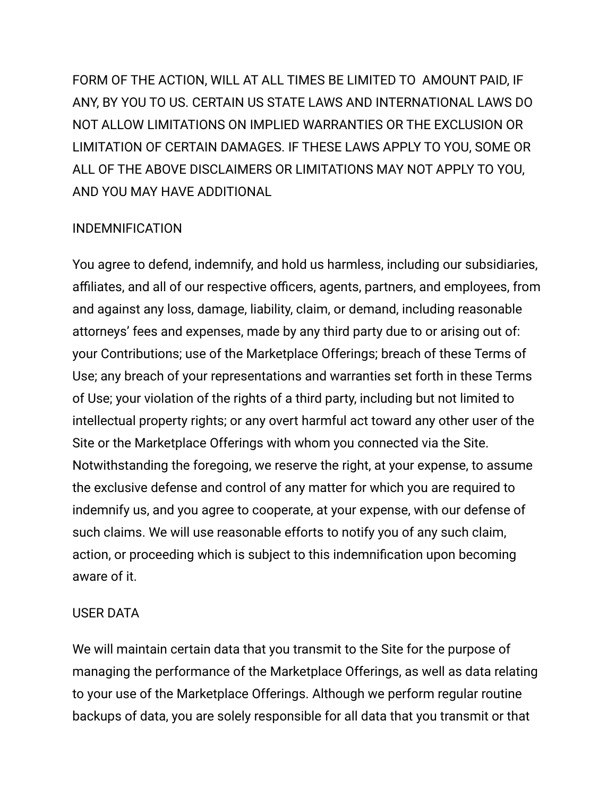FORM OF THE ACTION, WILL AT ALL TIMES BE LIMITED TO AMOUNT PAID, IF ANY, BY YOU TO US. CERTAIN US STATE LAWS AND INTERNATIONAL LAWS DO NOT ALLOW LIMITATIONS ON IMPLIED WARRANTIES OR THE EXCLUSION OR LIMITATION OF CERTAIN DAMAGES. IF THESE LAWS APPLY TO YOU, SOME OR ALL OF THE ABOVE DISCLAIMERS OR LIMITATIONS MAY NOT APPLY TO YOU, AND YOU MAY HAVE ADDITIONAL

### INDEMNIFICATION

You agree to defend, indemnify, and hold us harmless, including our subsidiaries, affiliates, and all of our respective officers, agents, partners, and employees, from and against any loss, damage, liability, claim, or demand, including reasonable attorneys' fees and expenses, made by any third party due to or arising out of: your Contributions; use of the Marketplace Offerings; breach of these Terms of Use; any breach of your representations and warranties set forth in these Terms of Use; your violation of the rights of a third party, including but not limited to intellectual property rights; or any overt harmful act toward any other user of the Site or the Marketplace Offerings with whom you connected via the Site. Notwithstanding the foregoing, we reserve the right, at your expense, to assume the exclusive defense and control of any matter for which you are required to indemnify us, and you agree to cooperate, at your expense, with our defense of such claims. We will use reasonable efforts to notify you of any such claim, action, or proceeding which is subject to this indemnification upon becoming aware of it.

#### USER DATA

We will maintain certain data that you transmit to the Site for the purpose of managing the performance of the Marketplace Offerings, as well as data relating to your use of the Marketplace Offerings. Although we perform regular routine backups of data, you are solely responsible for all data that you transmit or that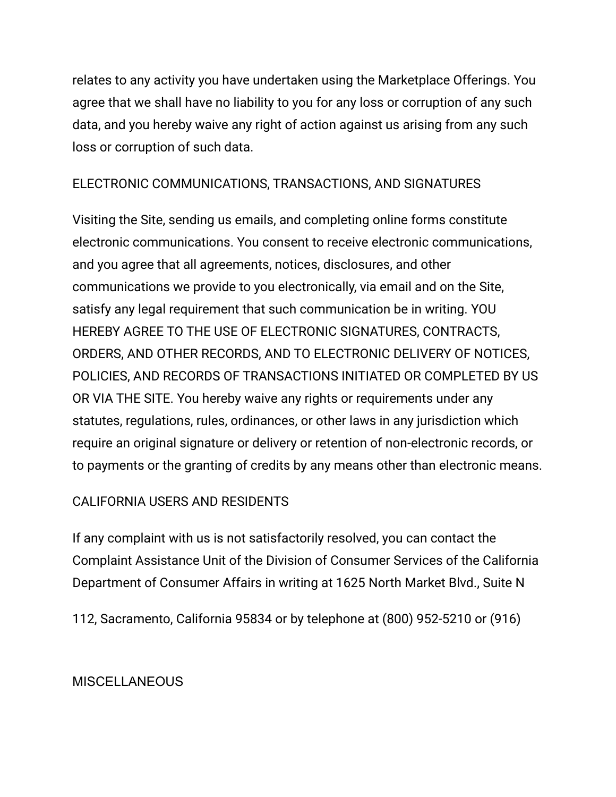relates to any activity you have undertaken using the Marketplace Offerings. You agree that we shall have no liability to you for any loss or corruption of any such data, and you hereby waive any right of action against us arising from any such loss or corruption of such data.

### ELECTRONIC COMMUNICATIONS, TRANSACTIONS, AND SIGNATURES

Visiting the Site, sending us emails, and completing online forms constitute electronic communications. You consent to receive electronic communications, and you agree that all agreements, notices, disclosures, and other communications we provide to you electronically, via email and on the Site, satisfy any legal requirement that such communication be in writing. YOU HEREBY AGREE TO THE USE OF ELECTRONIC SIGNATURES, CONTRACTS, ORDERS, AND OTHER RECORDS, AND TO ELECTRONIC DELIVERY OF NOTICES, POLICIES, AND RECORDS OF TRANSACTIONS INITIATED OR COMPLETED BY US OR VIA THE SITE. You hereby waive any rights or requirements under any statutes, regulations, rules, ordinances, or other laws in any jurisdiction which require an original signature or delivery or retention of non-electronic records, or to payments or the granting of credits by any means other than electronic means.

### CALIFORNIA USERS AND RESIDENTS

If any complaint with us is not satisfactorily resolved, you can contact the Complaint Assistance Unit of the Division of Consumer Services of the California Department of Consumer Affairs in writing at 1625 North Market Blvd., Suite N

112, Sacramento, California 95834 or by telephone at (800) 952-5210 or (916)

### **MISCELLANEOUS**